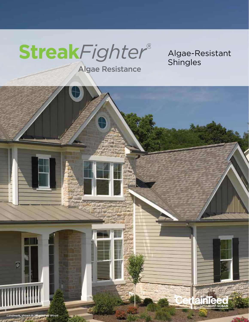# **StreakFighter®**

Algae-Resistant Shingles

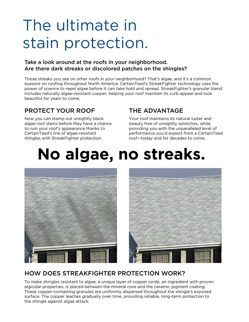# The ultimate in stain protection.

#### Take a look around at the roofs in your neighborhood. Are there dark streaks or discolored patches on the shingles?

Those streaks you see on other roofs in your neighborhood? That's algae, and it's a common eyesore on roofing throughout North America. CertainTeed's StreakFighter technology uses the power of science to repel algae before it can take hold and spread. StreakFighter's granular blend includes naturally algae-resistant copper, helping your roof maintain its curb appeal and look beautiful for years to come.

### PROTECT YOUR ROOF

Now you can stamp out unsightly black algae roof stains before they have a chance to ruin your roof's appearance thanks to CertainTeed's line of algae-resistant shingles with StreakFighter protection.

## THE ADVANTAGE

Your roof maintains its natural luster and beauty free of unsightly splotches, while providing you with the unparalleled level of performance you'd expect from a CertainTeed roof—today and for decades to come.

# **No algae, no streaks.**



## HOW DOES STREAKFIGHTER PROTECTION WORK?

To make shingles resistant to algae, a unique layer of copper oxide, an ingredient with proven algicidal properties, is placed between the mineral core and the ceramic pigment coating. These copper-containing granules are uniformly dispersed throughout the shingle's exposed surface. The copper leaches gradually over time, providing reliable, long-term protection to the shingle against algae attack.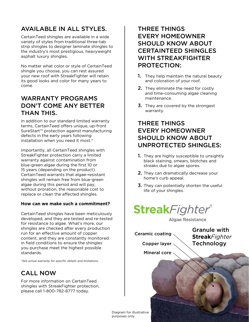## AVAILABLE IN ALL STYLES.

CertainTeed shingles are available in a wide variety of styles from traditional three-tab strip shingles to designer laminate shingles to the industry's most prestigious, heavyweight asphalt luxury shingles.

No matter what color or style of CertainTeed shingle you choose, you can rest assured your new roof with StreakFighter will retain its good looks and color for many years to come.

### WARRANTY PROGRAMS DON'T COME ANY BETTER THAN THIS.

In addition to our standard limited warranty terms, CertainTeed offers unique, up-front SureStart™ protection against manufacturing defects in the early years following installation when you need it most.\*

Importantly, all CertainTeed shingles with StreakFighter protection carry a limited warranty against contamination from blue-green algae during the first 10 or 15 years (depending on the product). CertainTeed warrants that algae-resistant shingles will remain free from blue-green algae during this period and will pay, without proration, the reasonable cost to replace or clean the affected shingles.

#### **How can we make such a commitment?**

CertainTeed shingles have been meticulously developed, and they are tested and re-tested for resistance to algae. What's more, our shingles are checked after every production run for an effective amount of copper content, and they are constantly monitored in field conditions to ensure the shingles you purchase meet the highest possible standards.

*\*See actual warranty for specific details and limitations.*

## CALL NOW

For more information on CertainTeed shingles with StreakFighter protection, please call 1-800-782-8777 today.

### THREE THINGS EVERY HOMEOWNER SHOULD KNOW ABOUT CERTAINTEED SHINGLES WITH STREAKFIGHTER PROTECTION:

- **1.** They help maintain the natural beauty and coloration of your roof.
- 2. They eliminate the need for costly and time-consuming algae cleaning maintenance.
- **3.** They are covered by the strongest warranty.

## THREE THINGS EVERY HOMEOWNER SHOULD KNOW ABOUT UNPROTECTED SHINGLES:

- **1.** They are highly susceptible to unsightly black staining, smears, blotches and streaks due to algae spores.
- 2. They can dramatically decrease your home's curb appeal.
- **3.** They can potentially shorten the useful life of your shingles.

## **StreakFighter®**

**Algae Resistance** 

Ceramic coating

Copper layer

Granule with **Streak***Fighter* **Technology** 

Mineral core